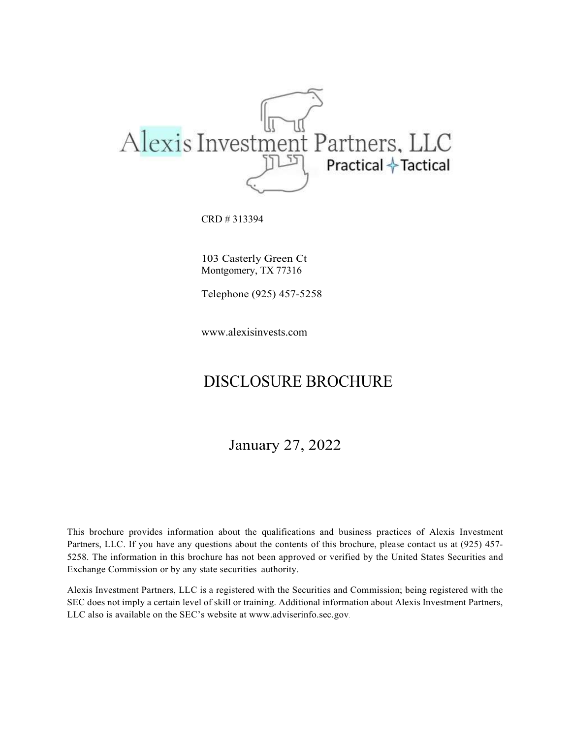

CRD # 313394

103 Casterly Green Ct Montgomery, TX 77316

Telephone (925) 457-5258

www.alexisinvests.com

## DISCLOSURE BROCHURE

January 27, 2022

This brochure provides information about the qualifications and business practices of Alexis Investment Partners, LLC. If you have any questions about the contents of this brochure, please contact us at (925) 457- 5258. The information in this brochure has not been approved or verified by the United States Securities and Exchange Commission or by any state securities authority.

Alexis Investment Partners, LLC is a registered with the Securities and Commission; being registered with the SEC does not imply a certain level of skill or training. Additional information about Alexis Investment Partners, LLC also is available on the SEC's website at www.adviserinfo.sec.gov.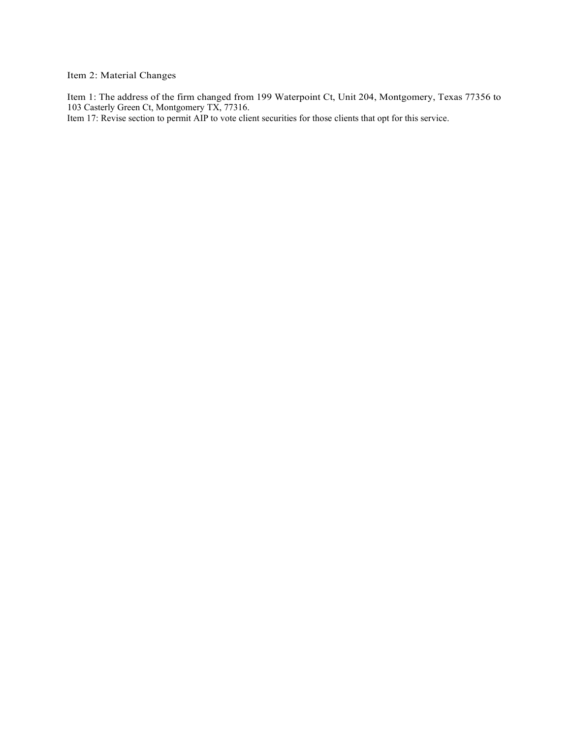Item 2: Material Changes

Item 1: The address of the firm changed from 199 Waterpoint Ct, Unit 204, Montgomery, Texas 77356 to 103 Casterly Green Ct, Montgomery TX, 77316.

Item 17: Revise section to permit AIP to vote client securities for those clients that opt for this service.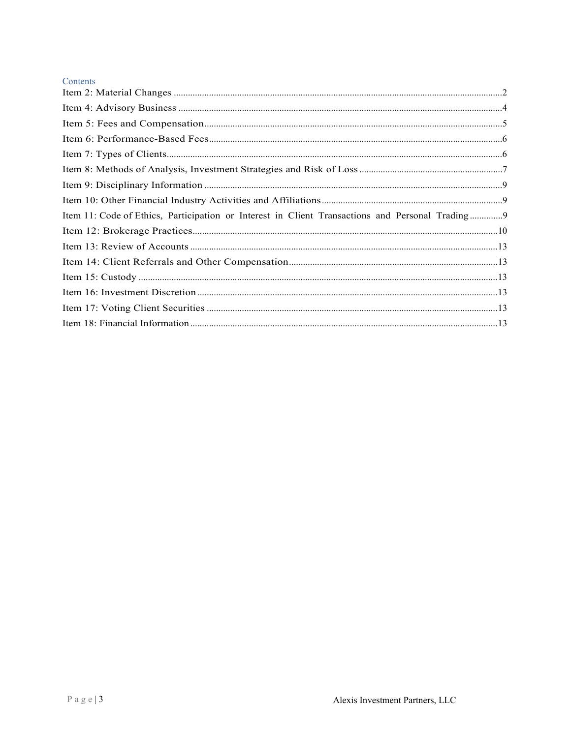| Contents                                                                                        |  |
|-------------------------------------------------------------------------------------------------|--|
|                                                                                                 |  |
|                                                                                                 |  |
|                                                                                                 |  |
|                                                                                                 |  |
|                                                                                                 |  |
|                                                                                                 |  |
|                                                                                                 |  |
|                                                                                                 |  |
| Item 11: Code of Ethics, Participation or Interest in Client Transactions and Personal Trading9 |  |
|                                                                                                 |  |
|                                                                                                 |  |
|                                                                                                 |  |
|                                                                                                 |  |
|                                                                                                 |  |
|                                                                                                 |  |
|                                                                                                 |  |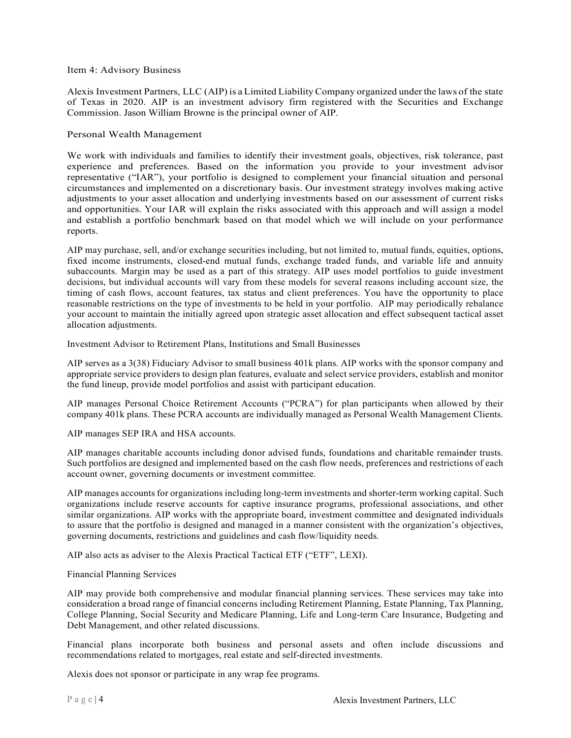#### Item 4: Advisory Business

Alexis Investment Partners, LLC (AIP) is a Limited Liability Company organized under the laws of the state of Texas in 2020. AIP is an investment advisory firm registered with the Securities and Exchange Commission. Jason William Browne is the principal owner of AIP.

#### Personal Wealth Management

We work with individuals and families to identify their investment goals, objectives, risk tolerance, past experience and preferences. Based on the information you provide to your investment advisor representative ("IAR"), your portfolio is designed to complement your financial situation and personal circumstances and implemented on a discretionary basis. Our investment strategy involves making active adjustments to your asset allocation and underlying investments based on our assessment of current risks and opportunities. Your IAR will explain the risks associated with this approach and will assign a model and establish a portfolio benchmark based on that model which we will include on your performance reports.

AIP may purchase, sell, and/or exchange securities including, but not limited to, mutual funds, equities, options, fixed income instruments, closed-end mutual funds, exchange traded funds, and variable life and annuity subaccounts. Margin may be used as a part of this strategy. AIP uses model portfolios to guide investment decisions, but individual accounts will vary from these models for several reasons including account size, the timing of cash flows, account features, tax status and client preferences. You have the opportunity to place reasonable restrictions on the type of investments to be held in your portfolio. AIP may periodically rebalance your account to maintain the initially agreed upon strategic asset allocation and effect subsequent tactical asset allocation adjustments.

Investment Advisor to Retirement Plans, Institutions and Small Businesses

AIP serves as a 3(38) Fiduciary Advisor to small business 401k plans. AIP works with the sponsor company and appropriate service providers to design plan features, evaluate and select service providers, establish and monitor the fund lineup, provide model portfolios and assist with participant education.

AIP manages Personal Choice Retirement Accounts ("PCRA") for plan participants when allowed by their company 401k plans. These PCRA accounts are individually managed as Personal Wealth Management Clients.

AIP manages SEP IRA and HSA accounts.

AIP manages charitable accounts including donor advised funds, foundations and charitable remainder trusts. Such portfolios are designed and implemented based on the cash flow needs, preferences and restrictions of each account owner, governing documents or investment committee.

AIP manages accounts for organizations including long-term investments and shorter-term working capital. Such organizations include reserve accounts for captive insurance programs, professional associations, and other similar organizations. AIP works with the appropriate board, investment committee and designated individuals to assure that the portfolio is designed and managed in a manner consistent with the organization's objectives, governing documents, restrictions and guidelines and cash flow/liquidity needs.

AIP also acts as adviser to the Alexis Practical Tactical ETF ("ETF", LEXI).

#### Financial Planning Services

AIP may provide both comprehensive and modular financial planning services. These services may take into consideration a broad range of financial concerns including Retirement Planning, Estate Planning, Tax Planning, College Planning, Social Security and Medicare Planning, Life and Long-term Care Insurance, Budgeting and Debt Management, and other related discussions.

Financial plans incorporate both business and personal assets and often include discussions and recommendations related to mortgages, real estate and self-directed investments.

Alexis does not sponsor or participate in any wrap fee programs.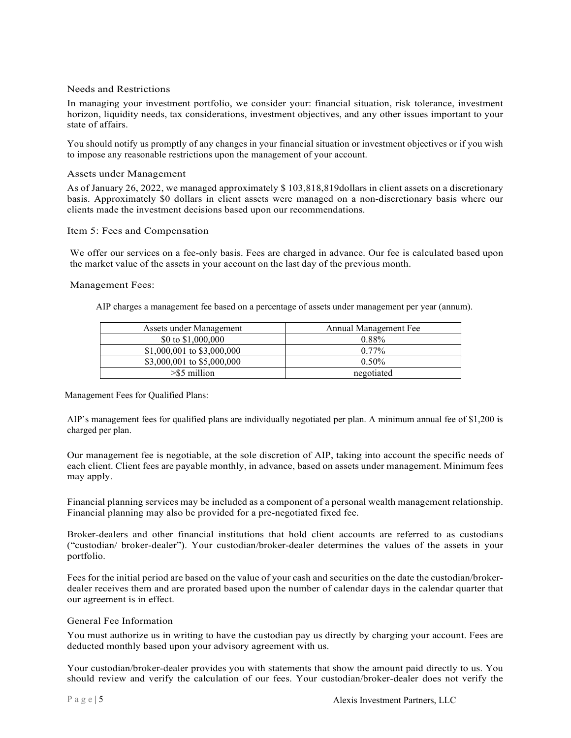#### Needs and Restrictions

In managing your investment portfolio, we consider your: financial situation, risk tolerance, investment horizon, liquidity needs, tax considerations, investment objectives, and any other issues important to your state of affairs.

You should notify us promptly of any changes in your financial situation or investment objectives or if you wish to impose any reasonable restrictions upon the management of your account.

#### Assets under Management

As of January 26, 2022, we managed approximately \$ 103,818,819dollars in client assets on a discretionary basis. Approximately \$0 dollars in client assets were managed on a non-discretionary basis where our clients made the investment decisions based upon our recommendations.

#### Item 5: Fees and Compensation

We offer our services on a fee-only basis. Fees are charged in advance. Our fee is calculated based upon the market value of the assets in your account on the last day of the previous month.

#### Management Fees:

AIP charges a management fee based on a percentage of assets under management per year (annum).

| Assets under Management    | Annual Management Fee |
|----------------------------|-----------------------|
| \$0 to $$1,000,000$        | 0.88%                 |
| \$1,000,001 to \$3,000,000 | $0.77\%$              |
| \$3,000,001 to \$5,000,000 | $0.50\%$              |
| $>$ \$5 million            | negotiated            |

Management Fees for Qualified Plans:

AIP's management fees for qualified plans are individually negotiated per plan. A minimum annual fee of \$1,200 is charged per plan.

Our management fee is negotiable, at the sole discretion of AIP, taking into account the specific needs of each client. Client fees are payable monthly, in advance, based on assets under management. Minimum fees may apply.

Financial planning services may be included as a component of a personal wealth management relationship. Financial planning may also be provided for a pre-negotiated fixed fee.

Broker-dealers and other financial institutions that hold client accounts are referred to as custodians ("custodian/ broker-dealer"). Your custodian/broker-dealer determines the values of the assets in your portfolio.

Fees for the initial period are based on the value of your cash and securities on the date the custodian/brokerdealer receives them and are prorated based upon the number of calendar days in the calendar quarter that our agreement is in effect.

#### General Fee Information

You must authorize us in writing to have the custodian pay us directly by charging your account. Fees are deducted monthly based upon your advisory agreement with us.

Your custodian/broker-dealer provides you with statements that show the amount paid directly to us. You should review and verify the calculation of our fees. Your custodian/broker-dealer does not verify the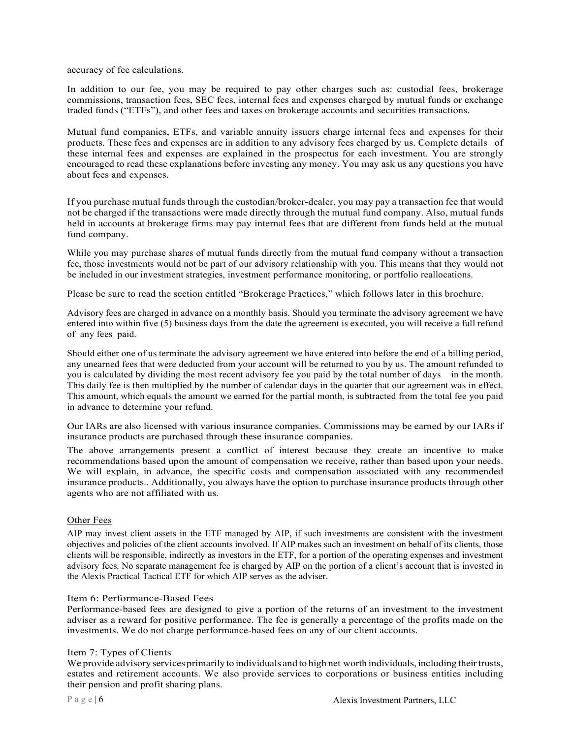accuracy of fee calculations.

In addition to our fee, you may be required to pay other charges such as: custodial fees, brokerage commissions, transaction fees, SEC fees, internal fees and expenses charged by mutual funds or exchange traded funds ("ETFs"), and other fees and taxes on brokerage accounts and securities transactions.

Mutual fund companies, ETFs, and variable annuity issuers charge internal fees and expenses for their products. These fees and expenses are in addition to any advisory fees charged by us. Complete details of these internal fees and expenses are explained in the prospectus for each investment. You are strongly encouraged to read these explanations before investing any money. You may ask us any questions you have about fees and expenses.

If you purchase mutual funds through the custodian/broker-dealer, you may pay a transaction fee that would not be charged if the transactions were made directly through the mutual fund company. Also, mutual funds held in accounts at brokerage firms may pay internal fees that are different from funds held at the mutual fund company.

While you may purchase shares of mutual funds directly from the mutual fund company without a transaction fee, those investments would not be part of our advisory relationship with you. This means that they would not be included in our investment strategies, investment performance monitoring, or portfolio reallocations.

Please be sure to read the section entitled "Brokerage Practices," which follows later in this brochure.

Advisory fees are charged in advance on a monthly basis. Should you terminate the advisory agreement we have entered into within five (5) business days from the date the agreement is executed, you will receive a full refund of any fees paid.

Should either one of us terminate the advisory agreement we have entered into before the end of a billing period, any unearned fees that were deducted from your account will be returned to you by us. The amount refunded to you is calculated by dividing the most recent advisory fee you paid by the total number of days in the month. This daily fee is then multiplied by the number of calendar days in the quarter that our agreement was in effect. This amount, which equals the amount we earned for the partial month, is subtracted from the total fee you paid in advance to determine your refund.

Our IARs are also licensed with various insurance companies. Commissions may be earned by our IARs if insurance products are purchased through these insurance companies.

The above arrangements present a conflict of interest because they create an incentive to make recommendations based upon the amount of compensation we receive, rather than based upon your needs. We will explain, in advance, the specific costs and compensation associated with any recommended insurance products.. Additionally, you always have the option to purchase insurance products through other agents who are not affiliated with us.

#### Other Fees

AIP may invest client assets in the ETF managed by AIP, if such investments are consistent with the investment objectives and policies of the client accounts involved. If AIP makes such an investment on behalf of its clients, those clients will be responsible, indirectly as investors in the ETF, for a portion of the operating expenses and investment advisory fees. No separate management fee is charged by AIP on the portion of a client's account that is invested in the Alexis Practical Tactical ETF for which AIP serves as the adviser.

#### Item 6: Performance-Based Fees

Performance-based fees are designed to give a portion of the returns of an investment to the investment adviser as a reward for positive performance. The fee is generally a percentage of the profits made on the investments. We do not charge performance-based fees on any of our client accounts.

#### Item 7: Types of Clients

We provide advisory services primarily to individuals and to high net worth individuals, including their trusts, estates and retirement accounts. We also provide services to corporations or business entities including their pension and profit sharing plans.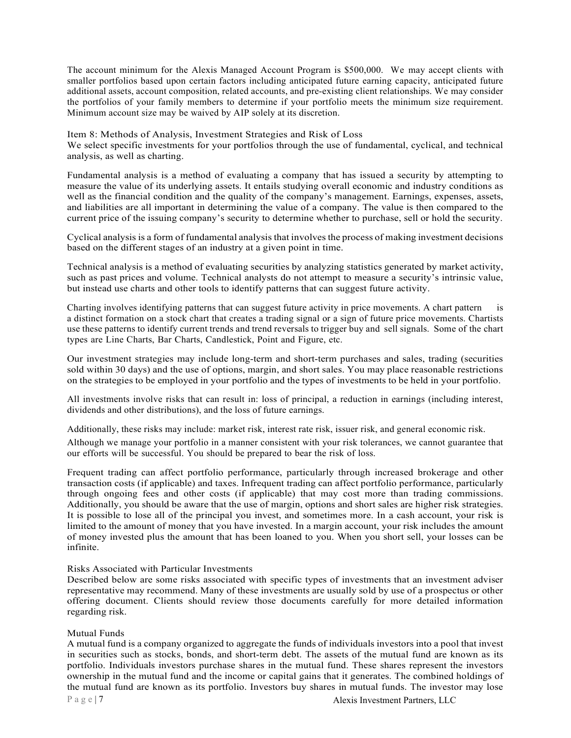The account minimum for the Alexis Managed Account Program is \$500,000. We may accept clients with smaller portfolios based upon certain factors including anticipated future earning capacity, anticipated future additional assets, account composition, related accounts, and pre-existing client relationships. We may consider the portfolios of your family members to determine if your portfolio meets the minimum size requirement. Minimum account size may be waived by AIP solely at its discretion.

Item 8: Methods of Analysis, Investment Strategies and Risk of Loss We select specific investments for your portfolios through the use of fundamental, cyclical, and technical analysis, as well as charting.

Fundamental analysis is a method of evaluating a company that has issued a security by attempting to measure the value of its underlying assets. It entails studying overall economic and industry conditions as well as the financial condition and the quality of the company's management. Earnings, expenses, assets, and liabilities are all important in determining the value of a company. The value is then compared to the current price of the issuing company's security to determine whether to purchase, sell or hold the security.

Cyclical analysis is a form of fundamental analysis that involves the process of making investment decisions based on the different stages of an industry at a given point in time.

Technical analysis is a method of evaluating securities by analyzing statistics generated by market activity, such as past prices and volume. Technical analysts do not attempt to measure a security's intrinsic value, but instead use charts and other tools to identify patterns that can suggest future activity.

Charting involves identifying patterns that can suggest future activity in price movements. A chart pattern is a distinct formation on a stock chart that creates a trading signal or a sign of future price movements. Chartists use these patterns to identify current trends and trend reversals to trigger buy and sell signals. Some of the chart types are Line Charts, Bar Charts, Candlestick, Point and Figure, etc.

Our investment strategies may include long-term and short-term purchases and sales, trading (securities sold within 30 days) and the use of options, margin, and short sales. You may place reasonable restrictions on the strategies to be employed in your portfolio and the types of investments to be held in your portfolio.

All investments involve risks that can result in: loss of principal, a reduction in earnings (including interest, dividends and other distributions), and the loss of future earnings.

Additionally, these risks may include: market risk, interest rate risk, issuer risk, and general economic risk.

Although we manage your portfolio in a manner consistent with your risk tolerances, we cannot guarantee that our efforts will be successful. You should be prepared to bear the risk of loss.

Frequent trading can affect portfolio performance, particularly through increased brokerage and other transaction costs (if applicable) and taxes. Infrequent trading can affect portfolio performance, particularly through ongoing fees and other costs (if applicable) that may cost more than trading commissions. Additionally, you should be aware that the use of margin, options and short sales are higher risk strategies. It is possible to lose all of the principal you invest, and sometimes more. In a cash account, your risk is limited to the amount of money that you have invested. In a margin account, your risk includes the amount of money invested plus the amount that has been loaned to you. When you short sell, your losses can be infinite.

#### Risks Associated with Particular Investments

Described below are some risks associated with specific types of investments that an investment adviser representative may recommend. Many of these investments are usually sold by use of a prospectus or other offering document. Clients should review those documents carefully for more detailed information regarding risk.

#### Mutual Funds

A mutual fund is a company organized to aggregate the funds of individuals investors into a pool that invest in securities such as stocks, bonds, and short-term debt. The assets of the mutual fund are known as its portfolio. Individuals investors purchase shares in the mutual fund. These shares represent the investors ownership in the mutual fund and the income or capital gains that it generates. The combined holdings of the mutual fund are known as its portfolio. Investors buy shares in mutual funds. The investor may lose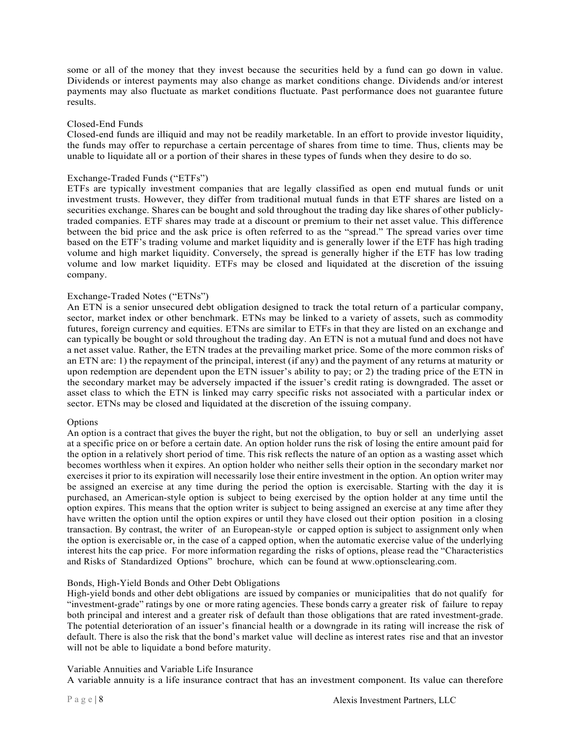some or all of the money that they invest because the securities held by a fund can go down in value. Dividends or interest payments may also change as market conditions change. Dividends and/or interest payments may also fluctuate as market conditions fluctuate. Past performance does not guarantee future results.

#### Closed-End Funds

Closed-end funds are illiquid and may not be readily marketable. In an effort to provide investor liquidity, the funds may offer to repurchase a certain percentage of shares from time to time. Thus, clients may be unable to liquidate all or a portion of their shares in these types of funds when they desire to do so.

#### Exchange-Traded Funds ("ETFs")

ETFs are typically investment companies that are legally classified as open end mutual funds or unit investment trusts. However, they differ from traditional mutual funds in that ETF shares are listed on a securities exchange. Shares can be bought and sold throughout the trading day like shares of other publiclytraded companies. ETF shares may trade at a discount or premium to their net asset value. This difference between the bid price and the ask price is often referred to as the "spread." The spread varies over time based on the ETF's trading volume and market liquidity and is generally lower if the ETF has high trading volume and high market liquidity. Conversely, the spread is generally higher if the ETF has low trading volume and low market liquidity. ETFs may be closed and liquidated at the discretion of the issuing company.

#### Exchange-Traded Notes ("ETNs")

An ETN is a senior unsecured debt obligation designed to track the total return of a particular company, sector, market index or other benchmark. ETNs may be linked to a variety of assets, such as commodity futures, foreign currency and equities. ETNs are similar to ETFs in that they are listed on an exchange and can typically be bought or sold throughout the trading day. An ETN is not a mutual fund and does not have a net asset value. Rather, the ETN trades at the prevailing market price. Some of the more common risks of an ETN are: 1) the repayment of the principal, interest (if any) and the payment of any returns at maturity or upon redemption are dependent upon the ETN issuer's ability to pay; or 2) the trading price of the ETN in the secondary market may be adversely impacted if the issuer's credit rating is downgraded. The asset or asset class to which the ETN is linked may carry specific risks not associated with a particular index or sector. ETNs may be closed and liquidated at the discretion of the issuing company.

#### Options

An option is a contract that gives the buyer the right, but not the obligation, to buy or sell an underlying asset at a specific price on or before a certain date. An option holder runs the risk of losing the entire amount paid for the option in a relatively short period of time. This risk reflects the nature of an option as a wasting asset which becomes worthless when it expires. An option holder who neither sells their option in the secondary market nor exercises it prior to its expiration will necessarily lose their entire investment in the option. An option writer may be assigned an exercise at any time during the period the option is exercisable. Starting with the day it is purchased, an American-style option is subject to being exercised by the option holder at any time until the option expires. This means that the option writer is subject to being assigned an exercise at any time after they have written the option until the option expires or until they have closed out their option position in a closing transaction. By contrast, the writer of an European-style or capped option is subject to assignment only when the option is exercisable or, in the case of a capped option, when the automatic exercise value of the underlying interest hits the cap price. For more information regarding the risks of options, please read the "Characteristics and Risks of Standardized Options" brochure, which can be found at www.optionsclearing.com.

#### Bonds, High-Yield Bonds and Other Debt Obligations

High-yield bonds and other debt obligations are issued by companies or municipalities that do not qualify for "investment-grade" ratings by one or more rating agencies. These bonds carry a greater risk of failure to repay both principal and interest and a greater risk of default than those obligations that are rated investment-grade. The potential deterioration of an issuer's financial health or a downgrade in its rating will increase the risk of default. There is also the risk that the bond's market value will decline as interest rates rise and that an investor will not be able to liquidate a bond before maturity.

#### Variable Annuities and Variable Life Insurance

A variable annuity is a life insurance contract that has an investment component. Its value can therefore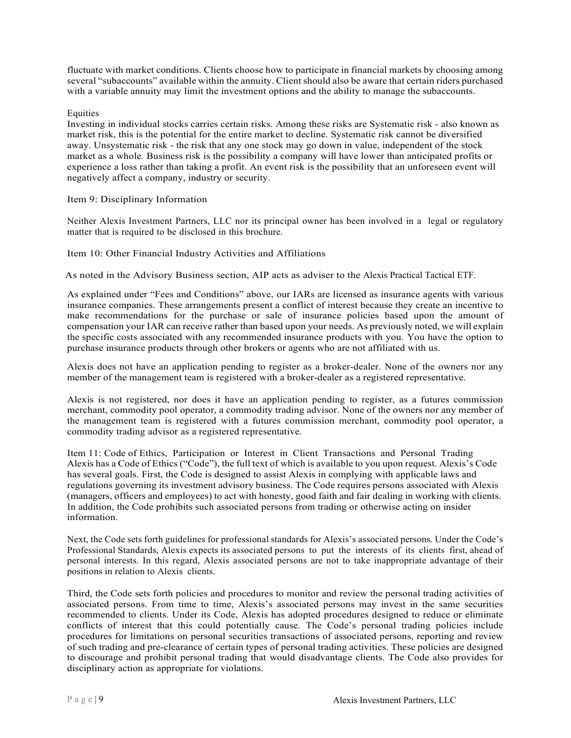fluctuate with market conditions. Clients choose how to participate in financial markets by choosing among several "subaccounts" available within the annuity. Client should also be aware that certain riders purchased with a variable annuity may limit the investment options and the ability to manage the subaccounts.

#### Equities

Investing in individual stocks carries certain risks. Among these risks are Systematic risk - also known as market risk, this is the potential for the entire market to decline. Systematic risk cannot be diversified away. Unsystematic risk - the risk that any one stock may go down in value, independent of the stock market as a whole. Business risk is the possibility a company will have lower than anticipated profits or experience a loss rather than taking a profit. An event risk is the possibility that an unforeseen event will negatively affect a company, industry or security.

Item 9: Disciplinary Information

Neither Alexis Investment Partners, LLC nor its principal owner has been involved in a legal or regulatory matter that is required to be disclosed in this brochure.

#### Item 10: Other Financial Industry Activities and Affiliations

As noted in the Advisory Business section, AIP acts as adviser to the Alexis Practical Tactical ETF.

As explained under "Fees and Conditions" above, our IARs are licensed as insurance agents with various insurance companies. These arrangements present a conflict of interest because they create an incentive to make recommendations for the purchase or sale of insurance policies based upon the amount of compensation your IAR can receive rather than based upon your needs. As previously noted, we will explain the specific costs associated with any recommended insurance products with you. You have the option to purchase insurance products through other brokers or agents who are not affiliated with us.

Alexis does not have an application pending to register as a broker-dealer. None of the owners nor any member of the management team is registered with a broker-dealer as a registered representative.

Alexis is not registered, nor does it have an application pending to register, as a futures commission merchant, commodity pool operator, a commodity trading advisor. None of the owners nor any member of the management team is registered with a futures commission merchant, commodity pool operator, a commodity trading advisor as a registered representative.

Item 11: Code of Ethics, Participation or Interest in Client Transactions and Personal Trading Alexis has a Code of Ethics ("Code"), the full text of which is available to you upon request. Alexis's Code has several goals. First, the Code is designed to assist Alexis in complying with applicable laws and regulations governing its investment advisory business. The Code requires persons associated with Alexis (managers, officers and employees) to act with honesty, good faith and fair dealing in working with clients. In addition, the Code prohibits such associated persons from trading or otherwise acting on insider information.

Next, the Code sets forth guidelines for professional standards for Alexis's associated persons. Under the Code's Professional Standards, Alexis expects its associated persons to put the interests of its clients first, ahead of personal interests. In this regard, Alexis associated persons are not to take inappropriate advantage of their positions in relation to Alexis clients.

Third, the Code sets forth policies and procedures to monitor and review the personal trading activities of associated persons. From time to time, Alexis's associated persons may invest in the same securities recommended to clients. Under its Code, Alexis has adopted procedures designed to reduce or eliminate conflicts of interest that this could potentially cause. The Code's personal trading policies include procedures for limitations on personal securities transactions of associated persons, reporting and review of such trading and pre-clearance of certain types of personal trading activities. These policies are designed to discourage and prohibit personal trading that would disadvantage clients. The Code also provides for disciplinary action as appropriate for violations.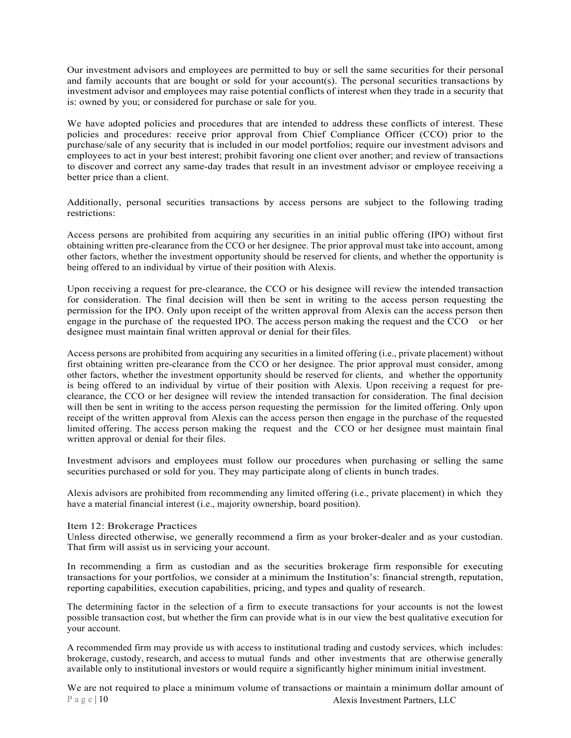Our investment advisors and employees are permitted to buy or sell the same securities for their personal and family accounts that are bought or sold for your account(s). The personal securities transactions by investment advisor and employees may raise potential conflicts of interest when they trade in a security that is: owned by you; or considered for purchase or sale for you.

We have adopted policies and procedures that are intended to address these conflicts of interest. These policies and procedures: receive prior approval from Chief Compliance Officer (CCO) prior to the purchase/sale of any security that is included in our model portfolios; require our investment advisors and employees to act in your best interest; prohibit favoring one client over another; and review of transactions to discover and correct any same-day trades that result in an investment advisor or employee receiving a better price than a client.

Additionally, personal securities transactions by access persons are subject to the following trading restrictions:

Access persons are prohibited from acquiring any securities in an initial public offering (IPO) without first obtaining written pre-clearance from the CCO or her designee. The prior approval must take into account, among other factors, whether the investment opportunity should be reserved for clients, and whether the opportunity is being offered to an individual by virtue of their position with Alexis.

Upon receiving a request for pre-clearance, the CCO or his designee will review the intended transaction for consideration. The final decision will then be sent in writing to the access person requesting the permission for the IPO. Only upon receipt of the written approval from Alexis can the access person then engage in the purchase of the requested IPO. The access person making the request and the CCO or her designee must maintain final written approval or denial for their files.

Access persons are prohibited from acquiring any securities in a limited offering (i.e., private placement) without first obtaining written pre-clearance from the CCO or her designee. The prior approval must consider, among other factors, whether the investment opportunity should be reserved for clients, and whether the opportunity is being offered to an individual by virtue of their position with Alexis. Upon receiving a request for preclearance, the CCO or her designee will review the intended transaction for consideration. The final decision will then be sent in writing to the access person requesting the permission for the limited offering. Only upon receipt of the written approval from Alexis can the access person then engage in the purchase of the requested limited offering. The access person making the request and the CCO or her designee must maintain final written approval or denial for their files.

Investment advisors and employees must follow our procedures when purchasing or selling the same securities purchased or sold for you. They may participate along of clients in bunch trades.

Alexis advisors are prohibited from recommending any limited offering (i.e., private placement) in which they have a material financial interest (i.e., majority ownership, board position).

#### Item 12: Brokerage Practices

Unless directed otherwise, we generally recommend a firm as your broker-dealer and as your custodian. That firm will assist us in servicing your account.

In recommending a firm as custodian and as the securities brokerage firm responsible for executing transactions for your portfolios, we consider at a minimum the Institution's: financial strength, reputation, reporting capabilities, execution capabilities, pricing, and types and quality of research.

The determining factor in the selection of a firm to execute transactions for your accounts is not the lowest possible transaction cost, but whether the firm can provide what is in our view the best qualitative execution for your account.

A recommended firm may provide us with access to institutional trading and custody services, which includes: brokerage, custody, research, and access to mutual funds and other investments that are otherwise generally available only to institutional investors or would require a significantly higher minimum initial investment.

P a g e | 10 Alexis Investment Partners, LLC We are not required to place a minimum volume of transactions or maintain a minimum dollar amount of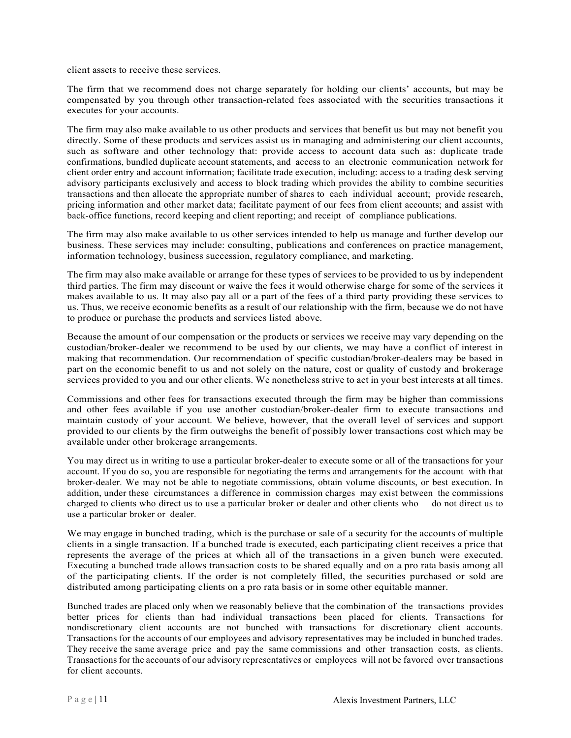client assets to receive these services.

The firm that we recommend does not charge separately for holding our clients' accounts, but may be compensated by you through other transaction-related fees associated with the securities transactions it executes for your accounts.

The firm may also make available to us other products and services that benefit us but may not benefit you directly. Some of these products and services assist us in managing and administering our client accounts, such as software and other technology that: provide access to account data such as: duplicate trade confirmations, bundled duplicate account statements, and access to an electronic communication network for client order entry and account information; facilitate trade execution, including: access to a trading desk serving advisory participants exclusively and access to block trading which provides the ability to combine securities transactions and then allocate the appropriate number of shares to each individual account; provide research, pricing information and other market data; facilitate payment of our fees from client accounts; and assist with back-office functions, record keeping and client reporting; and receipt of compliance publications.

The firm may also make available to us other services intended to help us manage and further develop our business. These services may include: consulting, publications and conferences on practice management, information technology, business succession, regulatory compliance, and marketing.

The firm may also make available or arrange for these types of services to be provided to us by independent third parties. The firm may discount or waive the fees it would otherwise charge for some of the services it makes available to us. It may also pay all or a part of the fees of a third party providing these services to us. Thus, we receive economic benefits as a result of our relationship with the firm, because we do not have to produce or purchase the products and services listed above.

Because the amount of our compensation or the products or services we receive may vary depending on the custodian/broker-dealer we recommend to be used by our clients, we may have a conflict of interest in making that recommendation. Our recommendation of specific custodian/broker-dealers may be based in part on the economic benefit to us and not solely on the nature, cost or quality of custody and brokerage services provided to you and our other clients. We nonetheless strive to act in your best interests at all times.

Commissions and other fees for transactions executed through the firm may be higher than commissions and other fees available if you use another custodian/broker-dealer firm to execute transactions and maintain custody of your account. We believe, however, that the overall level of services and support provided to our clients by the firm outweighs the benefit of possibly lower transactions cost which may be available under other brokerage arrangements.

You may direct us in writing to use a particular broker-dealer to execute some or all of the transactions for your account. If you do so, you are responsible for negotiating the terms and arrangements for the account with that broker-dealer. We may not be able to negotiate commissions, obtain volume discounts, or best execution. In addition, under these circumstances a difference in commission charges may exist between the commissions charged to clients who direct us to use a particular broker or dealer and other clients who do not direct us to use a particular broker or dealer.

We may engage in bunched trading, which is the purchase or sale of a security for the accounts of multiple clients in a single transaction. If a bunched trade is executed, each participating client receives a price that represents the average of the prices at which all of the transactions in a given bunch were executed. Executing a bunched trade allows transaction costs to be shared equally and on a pro rata basis among all of the participating clients. If the order is not completely filled, the securities purchased or sold are distributed among participating clients on a pro rata basis or in some other equitable manner.

Bunched trades are placed only when we reasonably believe that the combination of the transactions provides better prices for clients than had individual transactions been placed for clients. Transactions for nondiscretionary client accounts are not bunched with transactions for discretionary client accounts. Transactions for the accounts of our employees and advisory representatives may be included in bunched trades. They receive the same average price and pay the same commissions and other transaction costs, as clients. Transactions for the accounts of our advisory representatives or employees will not be favored over transactions for client accounts.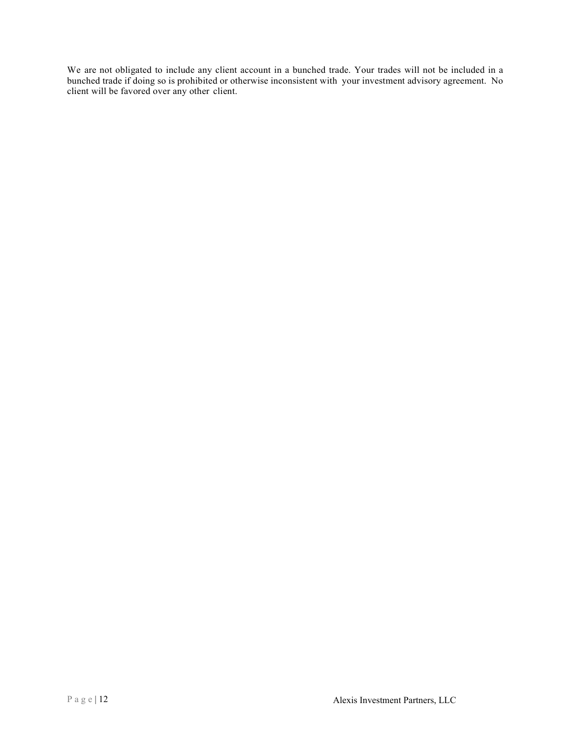We are not obligated to include any client account in a bunched trade. Your trades will not be included in a bunched trade if doing so is prohibited or otherwise inconsistent with your investment advisory agreement. No client will be favored over any other client.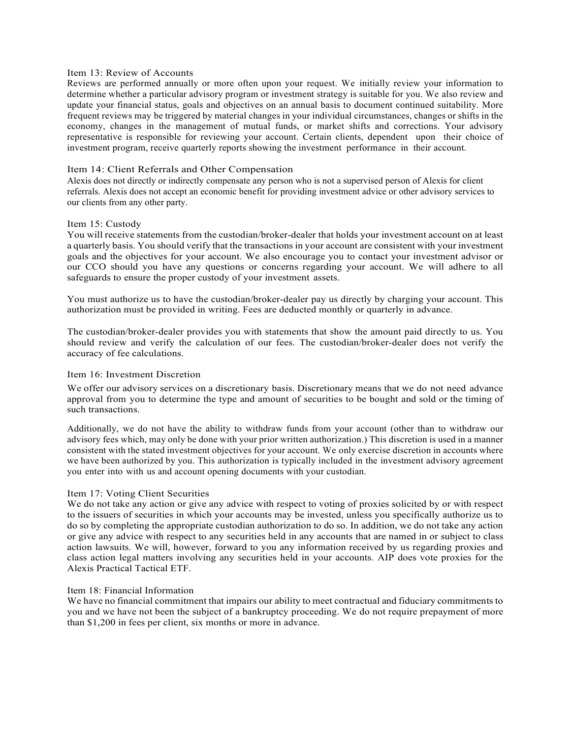#### Item 13: Review of Accounts

Reviews are performed annually or more often upon your request. We initially review your information to determine whether a particular advisory program or investment strategy is suitable for you. We also review and update your financial status, goals and objectives on an annual basis to document continued suitability. More frequent reviews may be triggered by material changes in your individual circumstances, changes or shifts in the economy, changes in the management of mutual funds, or market shifts and corrections. Your advisory representative is responsible for reviewing your account. Certain clients, dependent upon their choice of investment program, receive quarterly reports showing the investment performance in their account.

#### Item 14: Client Referrals and Other Compensation

Alexis does not directly or indirectly compensate any person who is not a supervised person of Alexis for client referrals. Alexis does not accept an economic benefit for providing investment advice or other advisory services to our clients from any other party.

#### Item 15: Custody

You will receive statements from the custodian/broker-dealer that holds your investment account on at least a quarterly basis. You should verify that the transactions in your account are consistent with your investment goals and the objectives for your account. We also encourage you to contact your investment advisor or our CCO should you have any questions or concerns regarding your account. We will adhere to all safeguards to ensure the proper custody of your investment assets.

You must authorize us to have the custodian/broker-dealer pay us directly by charging your account. This authorization must be provided in writing. Fees are deducted monthly or quarterly in advance.

The custodian/broker-dealer provides you with statements that show the amount paid directly to us. You should review and verify the calculation of our fees. The custodian/broker-dealer does not verify the accuracy of fee calculations.

#### Item 16: Investment Discretion

We offer our advisory services on a discretionary basis. Discretionary means that we do not need advance approval from you to determine the type and amount of securities to be bought and sold or the timing of such transactions.

Additionally, we do not have the ability to withdraw funds from your account (other than to withdraw our advisory fees which, may only be done with your prior written authorization.) This discretion is used in a manner consistent with the stated investment objectives for your account. We only exercise discretion in accounts where we have been authorized by you. This authorization is typically included in the investment advisory agreement you enter into with us and account opening documents with your custodian.

#### Item 17: Voting Client Securities

We do not take any action or give any advice with respect to voting of proxies solicited by or with respect to the issuers of securities in which your accounts may be invested, unless you specifically authorize us to do so by completing the appropriate custodian authorization to do so. In addition, we do not take any action or give any advice with respect to any securities held in any accounts that are named in or subject to class action lawsuits. We will, however, forward to you any information received by us regarding proxies and class action legal matters involving any securities held in your accounts. AIP does vote proxies for the Alexis Practical Tactical ETF.

#### Item 18: Financial Information

We have no financial commitment that impairs our ability to meet contractual and fiduciary commitments to you and we have not been the subject of a bankruptcy proceeding. We do not require prepayment of more than \$1,200 in fees per client, six months or more in advance.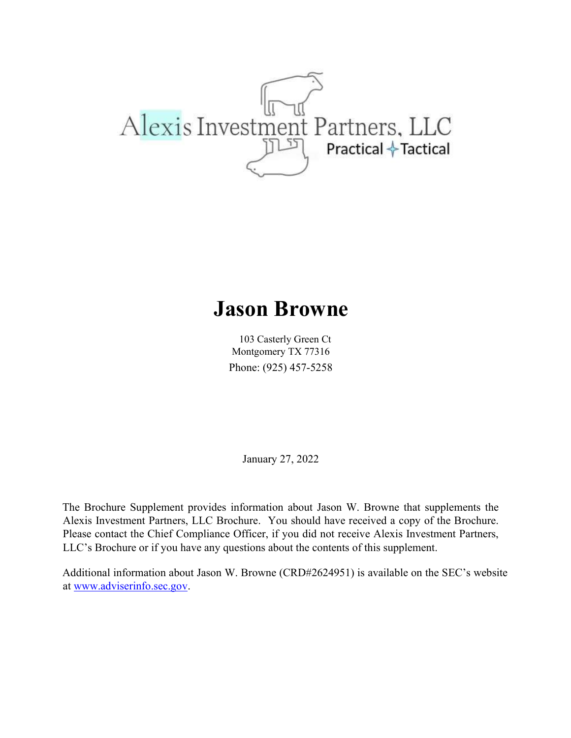

## Jason Browne

103 Casterly Green Ct Montgomery TX 77316 Phone: (925) 457-5258

January 27, 2022

The Brochure Supplement provides information about Jason W. Browne that supplements the Alexis Investment Partners, LLC Brochure. You should have received a copy of the Brochure. Please contact the Chief Compliance Officer, if you did not receive Alexis Investment Partners, LLC's Brochure or if you have any questions about the contents of this supplement.

Additional information about Jason W. Browne (CRD#2624951) is available on the SEC's website at www.adviserinfo.sec.gov.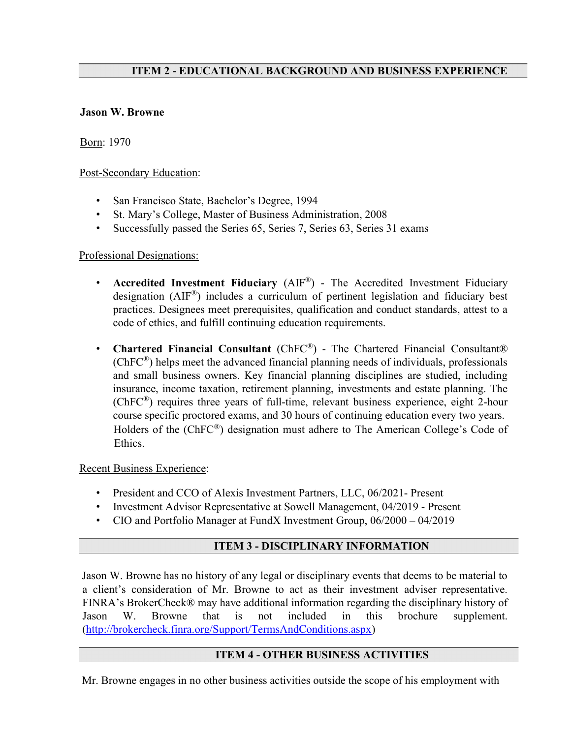## ITEM 2 - EDUCATIONAL BACKGROUND AND BUSINESS EXPERIENCE

## Jason W. Browne

Born: 1970

Post-Secondary Education:

- San Francisco State, Bachelor's Degree, 1994
- St. Mary's College, Master of Business Administration, 2008
- Successfully passed the Series 65, Series 7, Series 63, Series 31 exams

## Professional Designations:

- Accredited Investment Fiduciary (AIF®) The Accredited Investment Fiduciary designation (AIF®) includes a curriculum of pertinent legislation and fiduciary best practices. Designees meet prerequisites, qualification and conduct standards, attest to a code of ethics, and fulfill continuing education requirements.
- Chartered Financial Consultant (ChFC®) The Chartered Financial Consultant®  $(ChFC<sup>®</sup>)$  helps meet the advanced financial planning needs of individuals, professionals and small business owners. Key financial planning disciplines are studied, including insurance, income taxation, retirement planning, investments and estate planning. The (ChFC®) requires three years of full-time, relevant business experience, eight 2-hour course specific proctored exams, and 30 hours of continuing education every two years. Holders of the (ChFC®) designation must adhere to The American College's Code of Ethics.

Recent Business Experience:

- President and CCO of Alexis Investment Partners, LLC, 06/2021- Present
- Investment Advisor Representative at Sowell Management, 04/2019 Present
- CIO and Portfolio Manager at FundX Investment Group, 06/2000 04/2019

## ITEM 3 - DISCIPLINARY INFORMATION

Jason W. Browne has no history of any legal or disciplinary events that deems to be material to a client's consideration of Mr. Browne to act as their investment adviser representative. FINRA's BrokerCheck® may have additional information regarding the disciplinary history of Jason W. Browne that is not included in this brochure supplement. (http://brokercheck.finra.org/Support/TermsAndConditions.aspx)

## ITEM 4 - OTHER BUSINESS ACTIVITIES

Mr. Browne engages in no other business activities outside the scope of his employment with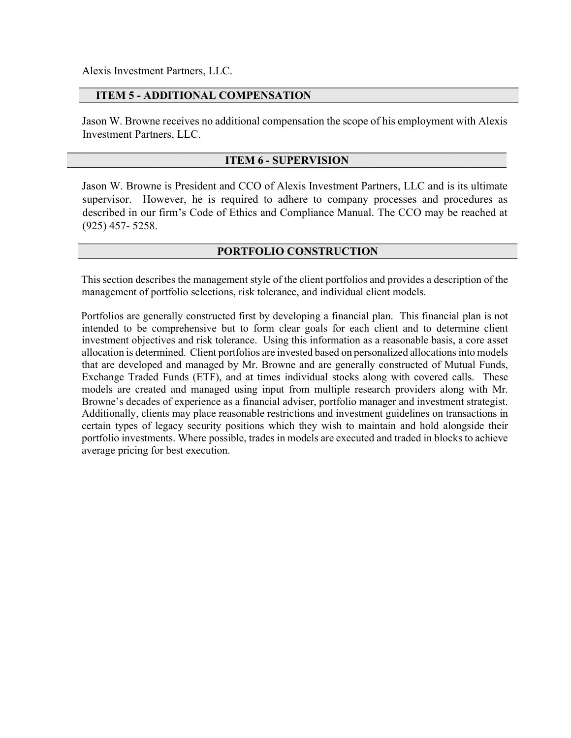Alexis Investment Partners, LLC.

 $\overline{a}$ 

## ITEM 5 - ADDITIONAL COMPENSATION

Jason W. Browne receives no additional compensation the scope of his employment with Alexis Investment Partners, LLC.

## ITEM 6 - SUPERVISION

Jason W. Browne is President and CCO of Alexis Investment Partners, LLC and is its ultimate supervisor. However, he is required to adhere to company processes and procedures as described in our firm's Code of Ethics and Compliance Manual. The CCO may be reached at (925) 457- 5258.

## PORTFOLIO CONSTRUCTION

This section describes the management style of the client portfolios and provides a description of the management of portfolio selections, risk tolerance, and individual client models.

Portfolios are generally constructed first by developing a financial plan. This financial plan is not intended to be comprehensive but to form clear goals for each client and to determine client investment objectives and risk tolerance. Using this information as a reasonable basis, a core asset allocation is determined. Client portfolios are invested based on personalized allocations into models that are developed and managed by Mr. Browne and are generally constructed of Mutual Funds, Exchange Traded Funds (ETF), and at times individual stocks along with covered calls. These models are created and managed using input from multiple research providers along with Mr. Browne's decades of experience as a financial adviser, portfolio manager and investment strategist. Additionally, clients may place reasonable restrictions and investment guidelines on transactions in certain types of legacy security positions which they wish to maintain and hold alongside their portfolio investments. Where possible, trades in models are executed and traded in blocks to achieve average pricing for best execution.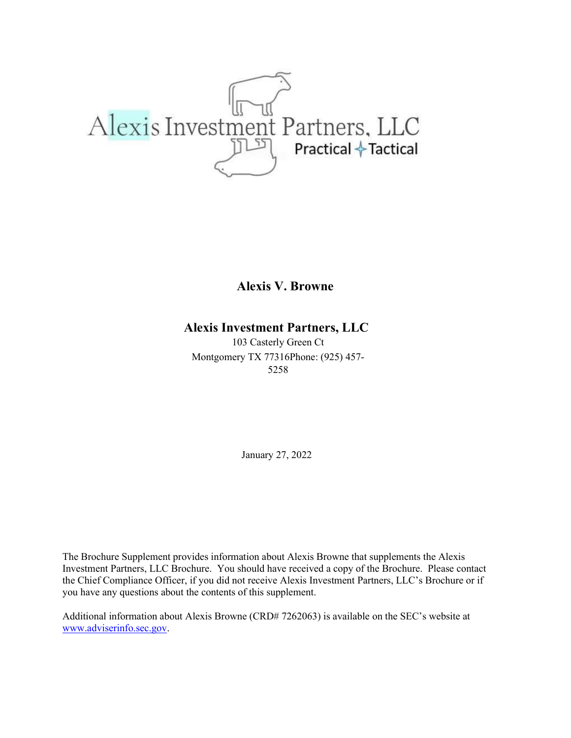

Alexis V. Browne

## Alexis Investment Partners, LLC

103 Casterly Green Ct Montgomery TX 77316Phone: (925) 457- 5258

January 27, 2022

The Brochure Supplement provides information about Alexis Browne that supplements the Alexis Investment Partners, LLC Brochure. You should have received a copy of the Brochure. Please contact the Chief Compliance Officer, if you did not receive Alexis Investment Partners, LLC's Brochure or if you have any questions about the contents of this supplement.

Additional information about Alexis Browne (CRD# 7262063) is available on the SEC's website at www.adviserinfo.sec.gov.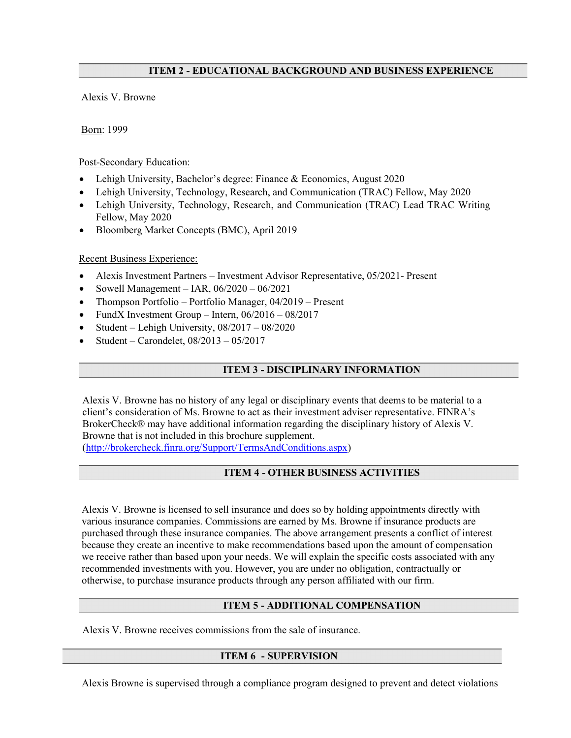## ITEM 2 - EDUCATIONAL BACKGROUND AND BUSINESS EXPERIENCE

Alexis V. Browne

Born: 1999

## Post-Secondary Education:

- Lehigh University, Bachelor's degree: Finance & Economics, August 2020
- Lehigh University, Technology, Research, and Communication (TRAC) Fellow, May 2020
- Lehigh University, Technology, Research, and Communication (TRAC) Lead TRAC Writing Fellow, May 2020
- Bloomberg Market Concepts (BMC), April 2019

## Recent Business Experience:

- Alexis Investment Partners Investment Advisor Representative, 05/2021- Present
- Sowell Management IAR,  $06/2020 06/2021$
- Thompson Portfolio Portfolio Manager, 04/2019 Present
- FundX Investment Group Intern, 06/2016 08/2017
- Student Lehigh University, 08/2017 08/2020
- Student Carondelet, 08/2013 05/2017

## ITEM 3 - DISCIPLINARY INFORMATION

Alexis V. Browne has no history of any legal or disciplinary events that deems to be material to a client's consideration of Ms. Browne to act as their investment adviser representative. FINRA's BrokerCheck® may have additional information regarding the disciplinary history of Alexis V. Browne that is not included in this brochure supplement. (http://brokercheck.finra.org/Support/TermsAndConditions.aspx)

## ITEM 4 - OTHER BUSINESS ACTIVITIES

Alexis V. Browne is licensed to sell insurance and does so by holding appointments directly with various insurance companies. Commissions are earned by Ms. Browne if insurance products are purchased through these insurance companies. The above arrangement presents a conflict of interest because they create an incentive to make recommendations based upon the amount of compensation we receive rather than based upon your needs. We will explain the specific costs associated with any recommended investments with you. However, you are under no obligation, contractually or otherwise, to purchase insurance products through any person affiliated with our firm.

## ITEM 5 - ADDITIONAL COMPENSATION

Alexis V. Browne receives commissions from the sale of insurance.

## ITEM 6 - SUPERVISION

Alexis Browne is supervised through a compliance program designed to prevent and detect violations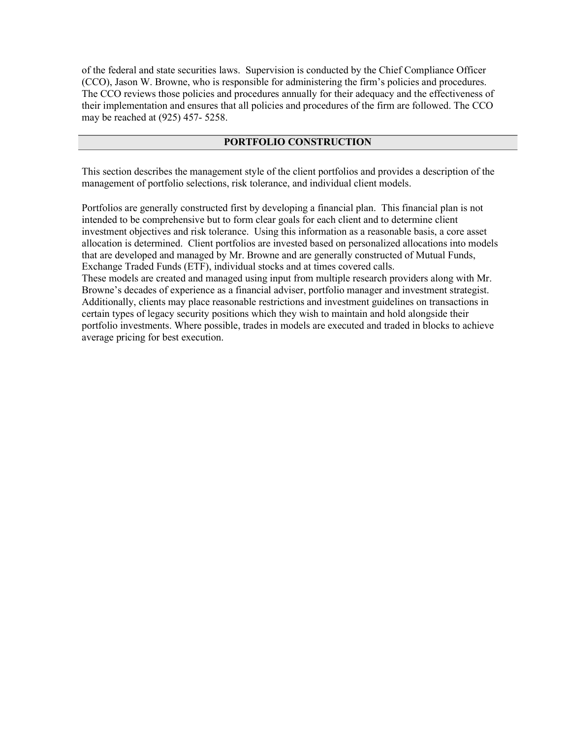of the federal and state securities laws. Supervision is conducted by the Chief Compliance Officer (CCO), Jason W. Browne, who is responsible for administering the firm's policies and procedures. The CCO reviews those policies and procedures annually for their adequacy and the effectiveness of their implementation and ensures that all policies and procedures of the firm are followed. The CCO may be reached at (925) 457- 5258.

## PORTFOLIO CONSTRUCTION

This section describes the management style of the client portfolios and provides a description of the management of portfolio selections, risk tolerance, and individual client models.

Portfolios are generally constructed first by developing a financial plan. This financial plan is not intended to be comprehensive but to form clear goals for each client and to determine client investment objectives and risk tolerance. Using this information as a reasonable basis, a core asset allocation is determined. Client portfolios are invested based on personalized allocations into models that are developed and managed by Mr. Browne and are generally constructed of Mutual Funds, Exchange Traded Funds (ETF), individual stocks and at times covered calls.

These models are created and managed using input from multiple research providers along with Mr. Browne's decades of experience as a financial adviser, portfolio manager and investment strategist. Additionally, clients may place reasonable restrictions and investment guidelines on transactions in certain types of legacy security positions which they wish to maintain and hold alongside their portfolio investments. Where possible, trades in models are executed and traded in blocks to achieve average pricing for best execution.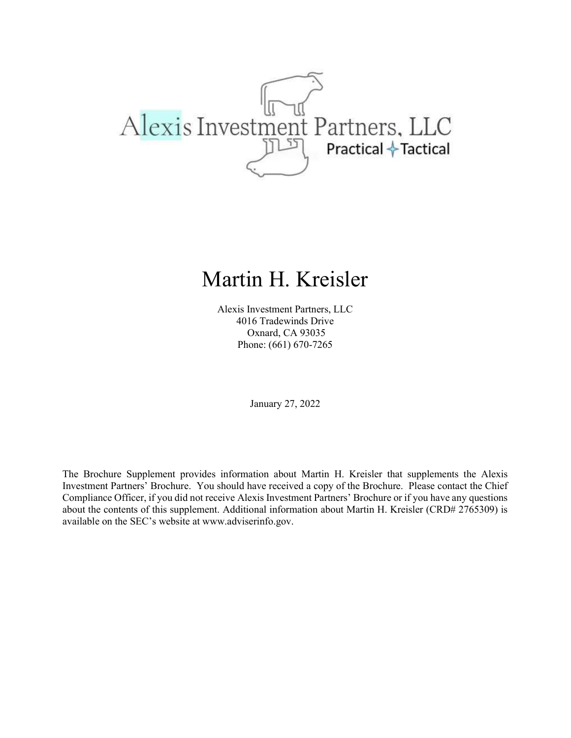

## Martin H. Kreisler

Alexis Investment Partners, LLC 4016 Tradewinds Drive Oxnard, CA 93035 Phone: (661) 670-7265

January 27, 2022

The Brochure Supplement provides information about Martin H. Kreisler that supplements the Alexis Investment Partners' Brochure. You should have received a copy of the Brochure. Please contact the Chief Compliance Officer, if you did not receive Alexis Investment Partners' Brochure or if you have any questions about the contents of this supplement. Additional information about Martin H. Kreisler (CRD# 2765309) is available on the SEC's website at www.adviserinfo.gov.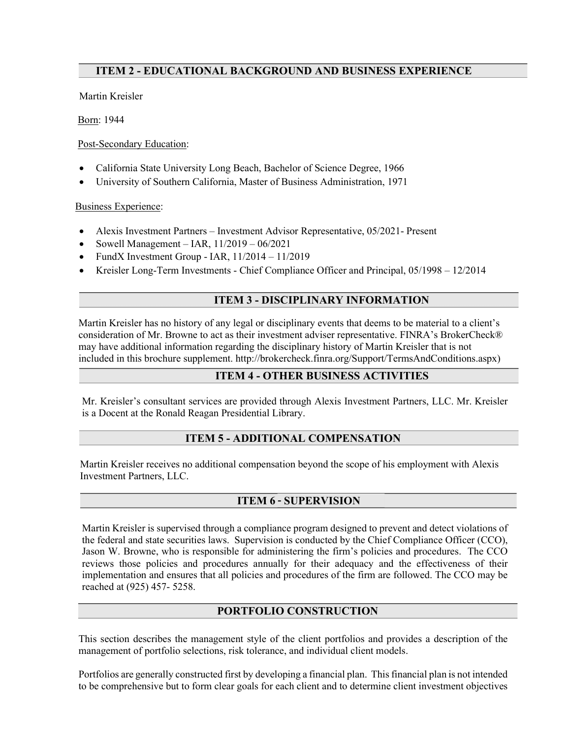## ITEM 2 - EDUCATIONAL BACKGROUND AND BUSINESS EXPERIENCE

Martin Kreisler

Born: 1944

Ī

Post-Secondary Education:

- California State University Long Beach, Bachelor of Science Degree, 1966
- University of Southern California, Master of Business Administration, 1971

Business Experience:

- Alexis Investment Partners Investment Advisor Representative, 05/2021- Present
- Sowell Management IAR, 11/2019 06/2021
- FundX Investment Group IAR,  $11/2014 11/2019$
- Kreisler Long-Term Investments Chief Compliance Officer and Principal, 05/1998 12/2014

## ITEM 3 - DISCIPLINARY INFORMATION

Martin Kreisler has no history of any legal or disciplinary events that deems to be material to a client's consideration of Mr. Browne to act as their investment adviser representative. FINRA's BrokerCheck® may have additional information regarding the disciplinary history of Martin Kreisler that is not included in this brochure supplement. http://brokercheck.finra.org/Support/TermsAndConditions.aspx)

## ITEM 4 - OTHER BUSINESS ACTIVITIES

Mr. Kreisler's consultant services are provided through Alexis Investment Partners, LLC. Mr. Kreisler is a Docent at the Ronald Reagan Presidential Library.

## ITEM 5 - ADDITIONAL COMPENSATION

Martin Kreisler receives no additional compensation beyond the scope of his employment with Alexis Investment Partners, LLC.

## ITEM 6 - SUPERVISION

Martin Kreisler is supervised through a compliance program designed to prevent and detect violations of the federal and state securities laws. Supervision is conducted by the Chief Compliance Officer (CCO), Jason W. Browne, who is responsible for administering the firm's policies and procedures. The CCO reviews those policies and procedures annually for their adequacy and the effectiveness of their implementation and ensures that all policies and procedures of the firm are followed. The CCO may be reached at (925) 457- 5258.

## PORTFOLIO CONSTRUCTION

This section describes the management style of the client portfolios and provides a description of the management of portfolio selections, risk tolerance, and individual client models.

Portfolios are generally constructed first by developing a financial plan. This financial plan is not intended to be comprehensive but to form clear goals for each client and to determine client investment objectives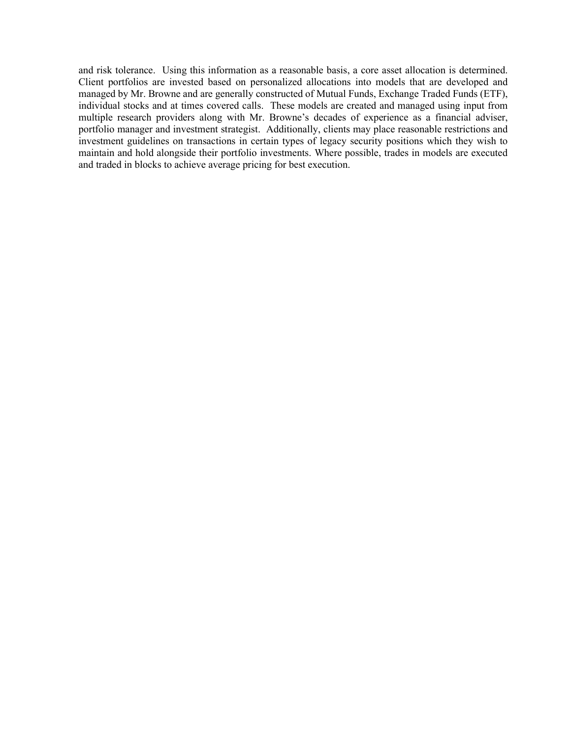and risk tolerance. Using this information as a reasonable basis, a core asset allocation is determined. Client portfolios are invested based on personalized allocations into models that are developed and managed by Mr. Browne and are generally constructed of Mutual Funds, Exchange Traded Funds (ETF), individual stocks and at times covered calls. These models are created and managed using input from multiple research providers along with Mr. Browne's decades of experience as a financial adviser, portfolio manager and investment strategist. Additionally, clients may place reasonable restrictions and investment guidelines on transactions in certain types of legacy security positions which they wish to maintain and hold alongside their portfolio investments. Where possible, trades in models are executed and traded in blocks to achieve average pricing for best execution.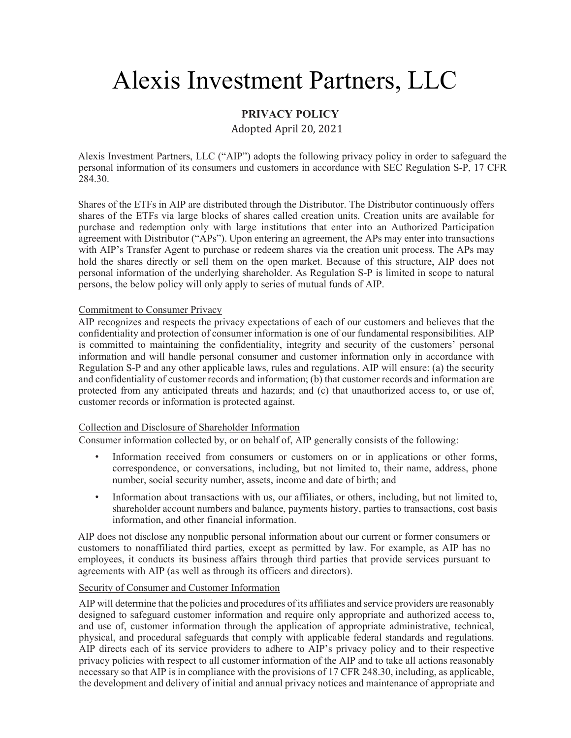# Alexis Investment Partners, LLC

## PRIVACY POLICY

Adopted April 20, 2021

Alexis Investment Partners, LLC ("AIP") adopts the following privacy policy in order to safeguard the personal information of its consumers and customers in accordance with SEC Regulation S-P, 17 CFR 284.30.

Shares of the ETFs in AIP are distributed through the Distributor. The Distributor continuously offers shares of the ETFs via large blocks of shares called creation units. Creation units are available for purchase and redemption only with large institutions that enter into an Authorized Participation agreement with Distributor ("APs"). Upon entering an agreement, the APs may enter into transactions with AIP's Transfer Agent to purchase or redeem shares via the creation unit process. The APs may hold the shares directly or sell them on the open market. Because of this structure, AIP does not personal information of the underlying shareholder. As Regulation S-P is limited in scope to natural persons, the below policy will only apply to series of mutual funds of AIP.

## Commitment to Consumer Privacy

AIP recognizes and respects the privacy expectations of each of our customers and believes that the confidentiality and protection of consumer information is one of our fundamental responsibilities. AIP is committed to maintaining the confidentiality, integrity and security of the customers' personal information and will handle personal consumer and customer information only in accordance with Regulation S-P and any other applicable laws, rules and regulations. AIP will ensure: (a) the security and confidentiality of customer records and information; (b) that customer records and information are protected from any anticipated threats and hazards; and (c) that unauthorized access to, or use of, customer records or information is protected against.

## Collection and Disclosure of Shareholder Information

Consumer information collected by, or on behalf of, AIP generally consists of the following:

- Information received from consumers or customers on or in applications or other forms, correspondence, or conversations, including, but not limited to, their name, address, phone number, social security number, assets, income and date of birth; and
- Information about transactions with us, our affiliates, or others, including, but not limited to, shareholder account numbers and balance, payments history, parties to transactions, cost basis information, and other financial information.

AIP does not disclose any nonpublic personal information about our current or former consumers or customers to nonaffiliated third parties, except as permitted by law. For example, as AIP has no employees, it conducts its business affairs through third parties that provide services pursuant to agreements with AIP (as well as through its officers and directors).

## Security of Consumer and Customer Information

AIP will determine that the policies and procedures of its affiliates and service providers are reasonably designed to safeguard customer information and require only appropriate and authorized access to, and use of, customer information through the application of appropriate administrative, technical, physical, and procedural safeguards that comply with applicable federal standards and regulations. AIP directs each of its service providers to adhere to AIP's privacy policy and to their respective privacy policies with respect to all customer information of the AIP and to take all actions reasonably necessary so that AIP is in compliance with the provisions of 17 CFR 248.30, including, as applicable, the development and delivery of initial and annual privacy notices and maintenance of appropriate and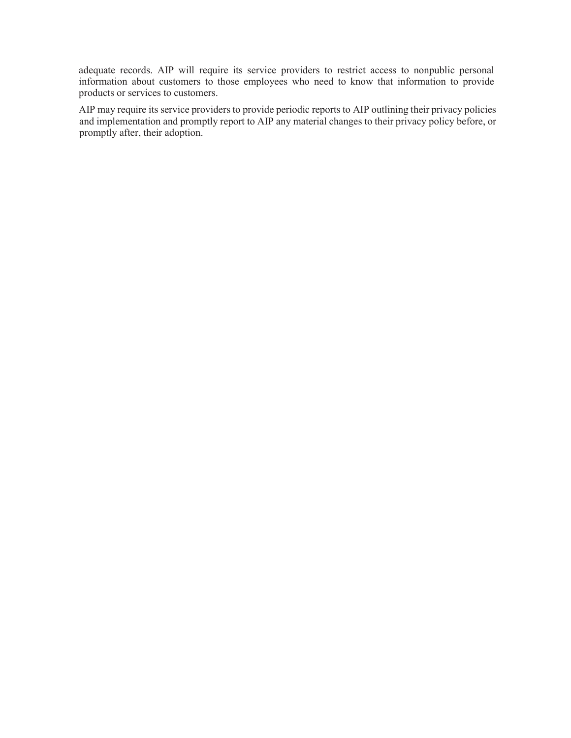adequate records. AIP will require its service providers to restrict access to nonpublic personal information about customers to those employees who need to know that information to provide products or services to customers.

AIP may require its service providers to provide periodic reports to AIP outlining their privacy policies and implementation and promptly report to AIP any material changes to their privacy policy before, or promptly after, their adoption.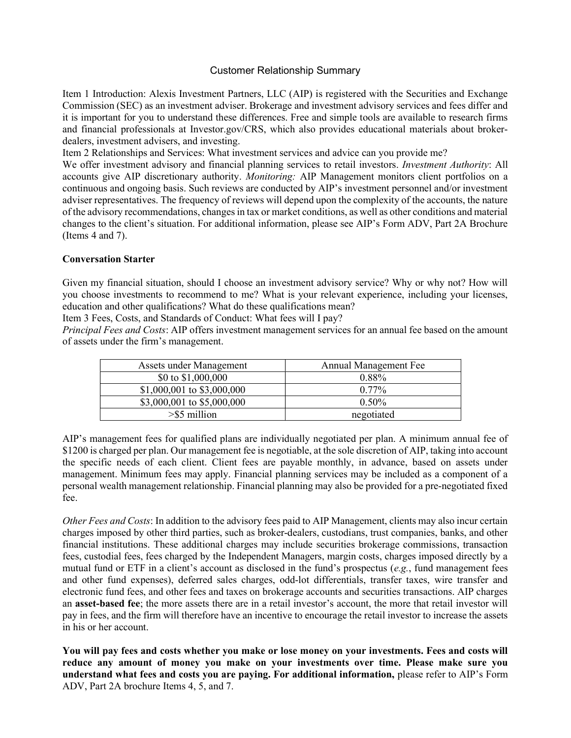## Customer Relationship Summary

Item 1 Introduction: Alexis Investment Partners, LLC (AIP) is registered with the Securities and Exchange Commission (SEC) as an investment adviser. Brokerage and investment advisory services and fees differ and it is important for you to understand these differences. Free and simple tools are available to research firms and financial professionals at Investor.gov/CRS, which also provides educational materials about brokerdealers, investment advisers, and investing.

Item 2 Relationships and Services: What investment services and advice can you provide me?

We offer investment advisory and financial planning services to retail investors. Investment Authority: All accounts give AIP discretionary authority. Monitoring: AIP Management monitors client portfolios on a continuous and ongoing basis. Such reviews are conducted by AIP's investment personnel and/or investment adviser representatives. The frequency of reviews will depend upon the complexity of the accounts, the nature of the advisory recommendations, changes in tax or market conditions, as well as other conditions and material changes to the client's situation. For additional information, please see AIP's Form ADV, Part 2A Brochure (Items 4 and 7).

## Conversation Starter

Given my financial situation, should I choose an investment advisory service? Why or why not? How will you choose investments to recommend to me? What is your relevant experience, including your licenses, education and other qualifications? What do these qualifications mean?

Item 3 Fees, Costs, and Standards of Conduct: What fees will I pay?

Principal Fees and Costs: AIP offers investment management services for an annual fee based on the amount of assets under the firm's management.

| Assets under Management    | <b>Annual Management Fee</b> |
|----------------------------|------------------------------|
| \$0 to $$1,000,000$        | $0.88\%$                     |
| \$1,000,001 to \$3,000,000 | $0.77\%$                     |
| \$3,000,001 to \$5,000,000 | $0.50\%$                     |
| $>$ \$5 million            | negotiated                   |

AIP's management fees for qualified plans are individually negotiated per plan. A minimum annual fee of \$1200 is charged per plan. Our management fee is negotiable, at the sole discretion of AIP, taking into account the specific needs of each client. Client fees are payable monthly, in advance, based on assets under management. Minimum fees may apply. Financial planning services may be included as a component of a personal wealth management relationship. Financial planning may also be provided for a pre-negotiated fixed fee.

Other Fees and Costs: In addition to the advisory fees paid to AIP Management, clients may also incur certain charges imposed by other third parties, such as broker-dealers, custodians, trust companies, banks, and other financial institutions. These additional charges may include securities brokerage commissions, transaction fees, custodial fees, fees charged by the Independent Managers, margin costs, charges imposed directly by a mutual fund or ETF in a client's account as disclosed in the fund's prospectus ( $e.g.,$  fund management fees and other fund expenses), deferred sales charges, odd-lot differentials, transfer taxes, wire transfer and electronic fund fees, and other fees and taxes on brokerage accounts and securities transactions. AIP charges an asset-based fee; the more assets there are in a retail investor's account, the more that retail investor will pay in fees, and the firm will therefore have an incentive to encourage the retail investor to increase the assets in his or her account.

You will pay fees and costs whether you make or lose money on your investments. Fees and costs will reduce any amount of money you make on your investments over time. Please make sure you understand what fees and costs you are paying. For additional information, please refer to AIP's Form ADV, Part 2A brochure Items 4, 5, and 7.